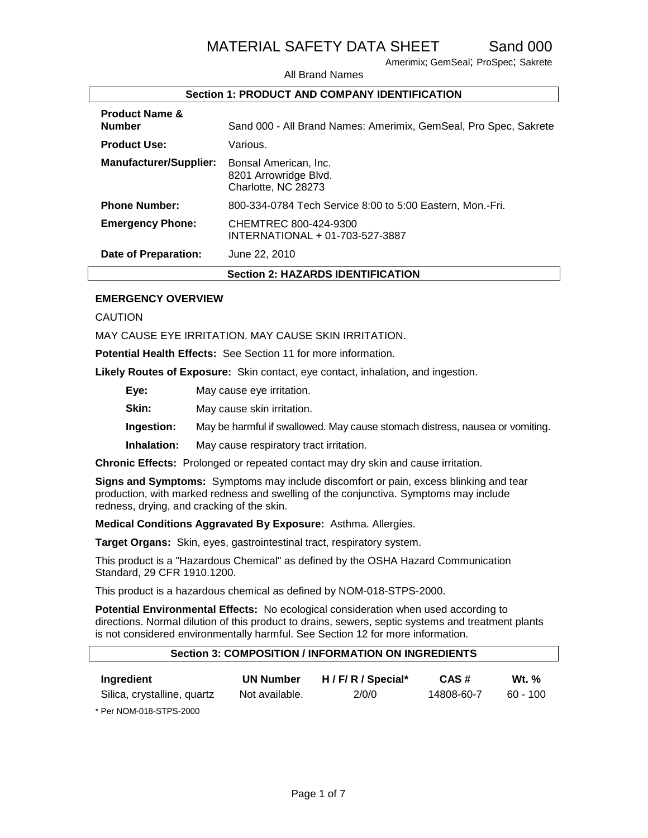Amerimix; GemSeal; ProSpec; Sakrete

All Brand Names

#### **Section 1: PRODUCT AND COMPANY IDENTIFICATION**

| <b>Product Name &amp;</b><br><b>Number</b> | Sand 000 - All Brand Names: Amerimix, GemSeal, Pro Spec, Sakrete      |
|--------------------------------------------|-----------------------------------------------------------------------|
| <b>Product Use:</b>                        | Various.                                                              |
| <b>Manufacturer/Supplier:</b>              | Bonsal American, Inc.<br>8201 Arrowridge Blvd.<br>Charlotte, NC 28273 |
| <b>Phone Number:</b>                       | 800-334-0784 Tech Service 8:00 to 5:00 Eastern, Mon.-Fri.             |
| <b>Emergency Phone:</b>                    | CHEMTREC 800-424-9300<br>INTERNATIONAL + 01-703-527-3887              |
| <b>Date of Preparation:</b>                | June 22, 2010                                                         |
|                                            | <b>Section 2: HAZARDS IDENTIFICATION</b>                              |

#### **EMERGENCY OVERVIEW**

CAUTION

MAY CAUSE EYE IRRITATION. MAY CAUSE SKIN IRRITATION.

**Potential Health Effects:** See Section 11 for more information.

**Likely Routes of Exposure:** Skin contact, eye contact, inhalation, and ingestion.

**Eye:** May cause eye irritation.

**Skin:** May cause skin irritation.

**Ingestion:** May be harmful if swallowed. May cause stomach distress, nausea or vomiting.

**Inhalation:** May cause respiratory tract irritation.

**Chronic Effects:** Prolonged or repeated contact may dry skin and cause irritation.

**Signs and Symptoms:** Symptoms may include discomfort or pain, excess blinking and tear production, with marked redness and swelling of the conjunctiva. Symptoms may include redness, drying, and cracking of the skin.

**Medical Conditions Aggravated By Exposure:** Asthma. Allergies.

**Target Organs:** Skin, eyes, gastrointestinal tract, respiratory system.

This product is a "Hazardous Chemical" as defined by the OSHA Hazard Communication Standard, 29 CFR 1910.1200.

This product is a hazardous chemical as defined by NOM-018-STPS-2000.

**Potential Environmental Effects:** No ecological consideration when used according to directions. Normal dilution of this product to drains, sewers, septic systems and treatment plants is not considered environmentally harmful. See Section 12 for more information.

#### **Section 3: COMPOSITION / INFORMATION ON INGREDIENTS**

| Ingredient                  | <b>UN Number</b> | H / F/ R / Special* | CAS#       | <b>Wt.</b> % |
|-----------------------------|------------------|---------------------|------------|--------------|
| Silica, crystalline, quartz | Not available.   | 2/0/0               | 14808-60-7 | 60 - 100     |

\* Per NOM-018-STPS-2000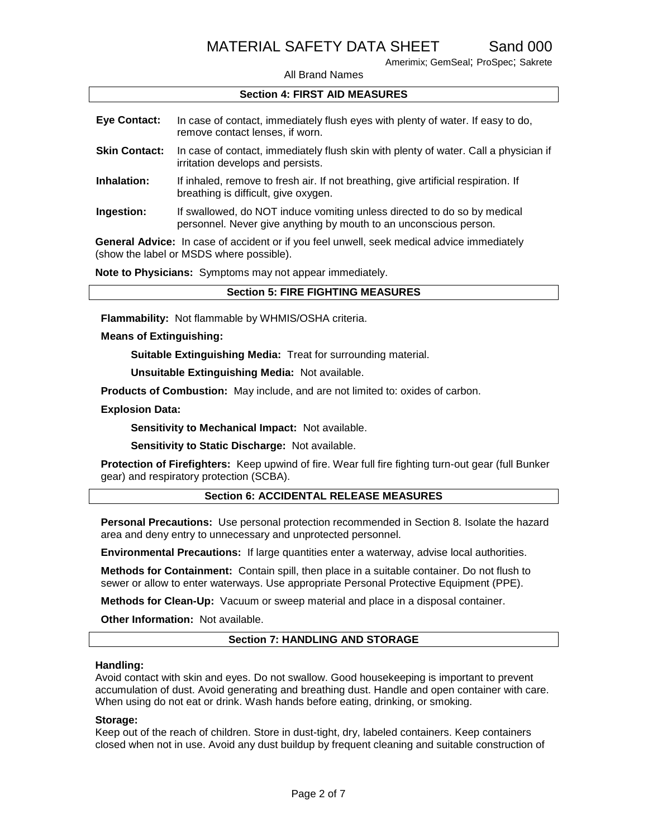Amerimix; GemSeal; ProSpec; Sakrete

All Brand Names

#### **Section 4: FIRST AID MEASURES**

| <b>Eye Contact:</b>  | In case of contact, immediately flush eyes with plenty of water. If easy to do,<br>remove contact lenses, if worn.                            |
|----------------------|-----------------------------------------------------------------------------------------------------------------------------------------------|
| <b>Skin Contact:</b> | In case of contact, immediately flush skin with plenty of water. Call a physician if<br>irritation develops and persists.                     |
| Inhalation:          | If inhaled, remove to fresh air. If not breathing, give artificial respiration. If<br>breathing is difficult, give oxygen.                    |
| Ingestion:           | If swallowed, do NOT induce vomiting unless directed to do so by medical<br>personnel. Never give anything by mouth to an unconscious person. |

**General Advice:** In case of accident or if you feel unwell, seek medical advice immediately (show the label or MSDS where possible).

**Note to Physicians:** Symptoms may not appear immediately.

**Flammability:** Not flammable by WHMIS/OSHA criteria.

#### **Means of Extinguishing:**

**Suitable Extinguishing Media:** Treat for surrounding material.

**Unsuitable Extinguishing Media:** Not available.

**Products of Combustion:** May include, and are not limited to: oxides of carbon.

#### **Explosion Data:**

**Sensitivity to Mechanical Impact:** Not available.

**Sensitivity to Static Discharge:** Not available.

**Protection of Firefighters:** Keep upwind of fire. Wear full fire fighting turn-out gear (full Bunker gear) and respiratory protection (SCBA).

#### **Section 6: ACCIDENTAL RELEASE MEASURES**

**Personal Precautions:** Use personal protection recommended in Section 8. Isolate the hazard area and deny entry to unnecessary and unprotected personnel.

**Environmental Precautions:** If large quantities enter a waterway, advise local authorities.

**Methods for Containment:** Contain spill, then place in a suitable container. Do not flush to sewer or allow to enter waterways. Use appropriate Personal Protective Equipment (PPE).

**Methods for Clean-Up:** Vacuum or sweep material and place in a disposal container.

**Other Information:** Not available.

#### **Section 7: HANDLING AND STORAGE**

#### **Handling:**

Avoid contact with skin and eyes. Do not swallow. Good housekeeping is important to prevent accumulation of dust. Avoid generating and breathing dust. Handle and open container with care. When using do not eat or drink. Wash hands before eating, drinking, or smoking.

#### **Storage:**

Keep out of the reach of children. Store in dust-tight, dry, labeled containers. Keep containers closed when not in use. Avoid any dust buildup by frequent cleaning and suitable construction of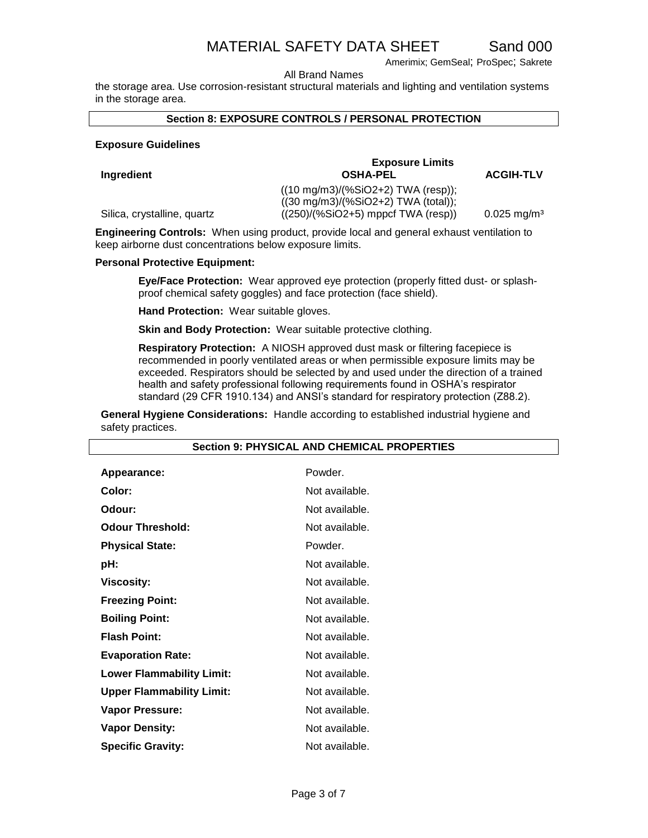Amerimix; GemSeal; ProSpec; Sakrete

All Brand Names

the storage area. Use corrosion-resistant structural materials and lighting and ventilation systems in the storage area.

#### **Section 8: EXPOSURE CONTROLS / PERSONAL PROTECTION**

#### **Exposure Guidelines**

Silica, crystalline, quartz

 $Ingreatient$ 

| <b>Exposure Limits</b>                        |                           |
|-----------------------------------------------|---------------------------|
| <b>OSHA-PEL</b>                               | <b>ACGIH-TLV</b>          |
| $((10 \text{ mg/m3})/(%SiO2+2)$ TWA (resp));  |                           |
| $((30 \text{ mg/m3})/(%SiO2+2)$ TWA (total)); |                           |
| $((250)/(%SiO2+5)$ mppcf TWA (resp))          | $0.025$ mg/m <sup>3</sup> |

**Engineering Controls:** When using product, provide local and general exhaust ventilation to keep airborne dust concentrations below exposure limits.

#### **Personal Protective Equipment:**

**Eye/Face Protection:** Wear approved eye protection (properly fitted dust- or splashproof chemical safety goggles) and face protection (face shield).

**Hand Protection:** Wear suitable gloves.

**Skin and Body Protection:** Wear suitable protective clothing.

**Respiratory Protection:** A NIOSH approved dust mask or filtering facepiece is recommended in poorly ventilated areas or when permissible exposure limits may be exceeded. Respirators should be selected by and used under the direction of a trained health and safety professional following requirements found in OSHA's respirator standard (29 CFR 1910.134) and ANSI's standard for respiratory protection (Z88.2).

**General Hygiene Considerations:** Handle according to established industrial hygiene and safety practices.

| Appearance:                      | Powder.        |
|----------------------------------|----------------|
|                                  |                |
| Color:                           | Not available. |
| Odour:                           | Not available. |
| <b>Odour Threshold:</b>          | Not available. |
| <b>Physical State:</b>           | Powder.        |
| pH:                              | Not available. |
| <b>Viscosity:</b>                | Not available. |
| <b>Freezing Point:</b>           | Not available. |
| <b>Boiling Point:</b>            | Not available. |
| <b>Flash Point:</b>              | Not available. |
| <b>Evaporation Rate:</b>         | Not available. |
| <b>Lower Flammability Limit:</b> | Not available. |
| <b>Upper Flammability Limit:</b> | Not available. |
| <b>Vapor Pressure:</b>           | Not available. |
| <b>Vapor Density:</b>            | Not available. |
| <b>Specific Gravity:</b>         | Not available. |

#### **Section 9: PHYSICAL AND CHEMICAL PROPERTIES**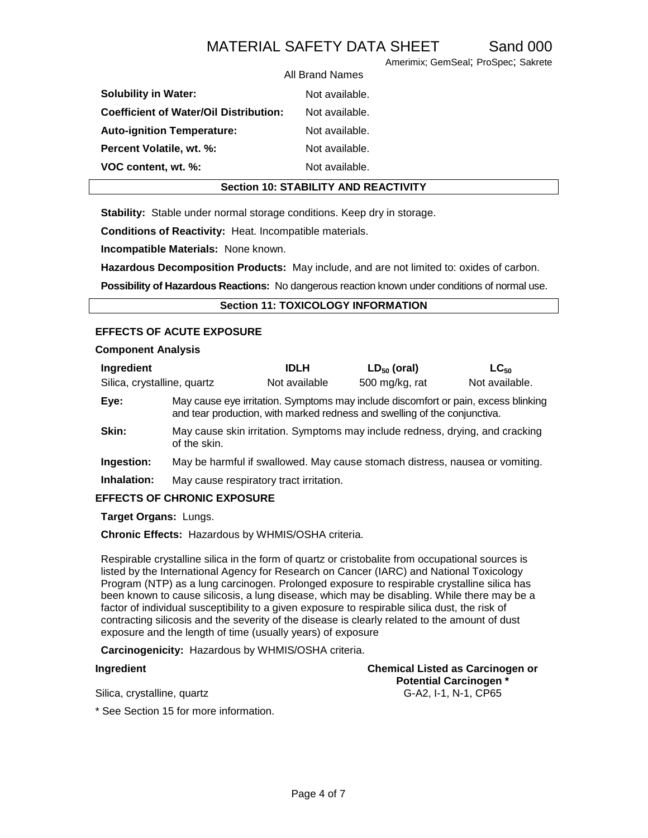Amerimix; GemSeal; ProSpec; Sakrete

|                                               | All Brand Names |
|-----------------------------------------------|-----------------|
| <b>Solubility in Water:</b>                   | Not available.  |
| <b>Coefficient of Water/Oil Distribution:</b> | Not available.  |
| <b>Auto-ignition Temperature:</b>             | Not available.  |
| Percent Volatile, wt. %:                      | Not available.  |
| VOC content, wt. %:                           | Not available.  |
|                                               |                 |

#### **Section 10: STABILITY AND REACTIVITY**

**Stability:** Stable under normal storage conditions. Keep dry in storage.

**Conditions of Reactivity:** Heat. Incompatible materials.

**Incompatible Materials:** None known.

**Hazardous Decomposition Products:** May include, and are not limited to: oxides of carbon.

**Possibility of Hazardous Reactions:** No dangerous reaction known under conditions of normal use.

#### **Section 11: TOXICOLOGY INFORMATION**

### **EFFECTS OF ACUTE EXPOSURE**

#### **Component Analysis**

| Ingredient                  |                                         | <b>IDLH</b>   | $LD_{50}$ (oral)                                                                                                                                                | $LG_{50}$      |
|-----------------------------|-----------------------------------------|---------------|-----------------------------------------------------------------------------------------------------------------------------------------------------------------|----------------|
| Silica, crystalline, quartz |                                         | Not available | 500 mg/kg, rat                                                                                                                                                  | Not available. |
| Eye:                        |                                         |               | May cause eye irritation. Symptoms may include discomfort or pain, excess blinking<br>and tear production, with marked redness and swelling of the conjunctiva. |                |
| Skin:                       | of the skin.                            |               | May cause skin irritation. Symptoms may include redness, drying, and cracking                                                                                   |                |
| Ingestion:                  |                                         |               | May be harmful if swallowed. May cause stomach distress, nausea or vomiting.                                                                                    |                |
| Inhalation:                 | May cause respiratory tract irritation. |               |                                                                                                                                                                 |                |

#### **EFFECTS OF CHRONIC EXPOSURE**

**Target Organs:** Lungs.

**Chronic Effects:** Hazardous by WHMIS/OSHA criteria.

Respirable crystalline silica in the form of quartz or cristobalite from occupational sources is listed by the International Agency for Research on Cancer (IARC) and National Toxicology Program (NTP) as a lung carcinogen. Prolonged exposure to respirable crystalline silica has been known to cause silicosis, a lung disease, which may be disabling. While there may be a factor of individual susceptibility to a given exposure to respirable silica dust, the risk of contracting silicosis and the severity of the disease is clearly related to the amount of dust exposure and the length of time (usually years) of exposure

**Carcinogenicity:** Hazardous by WHMIS/OSHA criteria.

**Ingredient Chemical Listed as Carcinogen or Potential Carcinogen \*** Silica, crystalline, quartz G-A2, I-1, N-1, CP65

\* See Section 15 for more information.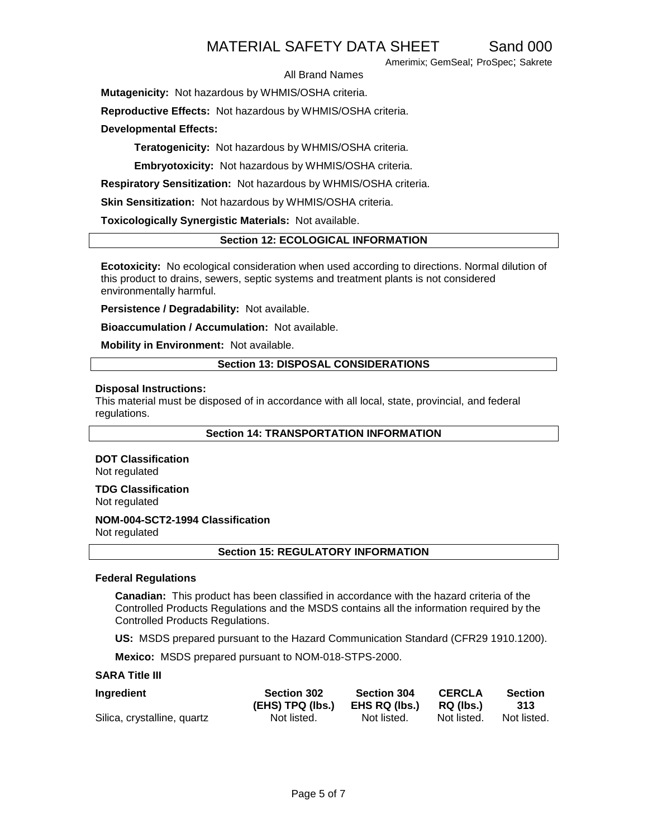Amerimix; GemSeal; ProSpec; Sakrete

#### All Brand Names

**Mutagenicity:** Not hazardous by WHMIS/OSHA criteria.

**Reproductive Effects:** Not hazardous by WHMIS/OSHA criteria.

**Developmental Effects:**

**Teratogenicity:** Not hazardous by WHMIS/OSHA criteria.

**Embryotoxicity:** Not hazardous by WHMIS/OSHA criteria.

**Respiratory Sensitization:** Not hazardous by WHMIS/OSHA criteria.

**Skin Sensitization:** Not hazardous by WHMIS/OSHA criteria.

**Toxicologically Synergistic Materials:** Not available.

#### **Section 12: ECOLOGICAL INFORMATION**

**Ecotoxicity:** No ecological consideration when used according to directions. Normal dilution of this product to drains, sewers, septic systems and treatment plants is not considered environmentally harmful.

**Persistence / Degradability:** Not available.

**Bioaccumulation / Accumulation:** Not available.

**Mobility in Environment:** Not available.

#### **Section 13: DISPOSAL CONSIDERATIONS**

#### **Disposal Instructions:**

This material must be disposed of in accordance with all local, state, provincial, and federal regulations.

**Section 14: TRANSPORTATION INFORMATION**

### **DOT Classification**

Not regulated

**TDG Classification**

Not regulated

### **NOM-004-SCT2-1994 Classification**

Not regulated

#### **Section 15: REGULATORY INFORMATION**

#### **Federal Regulations**

**Canadian:** This product has been classified in accordance with the hazard criteria of the Controlled Products Regulations and the MSDS contains all the information required by the Controlled Products Regulations.

**US:** MSDS prepared pursuant to the Hazard Communication Standard (CFR29 1910.1200).

**Mexico:** MSDS prepared pursuant to NOM-018-STPS-2000.

#### **SARA Title III**

| Ingredient                  | <b>Section 302</b> | <b>Section 304</b> | <b>CERCLA</b> | <b>Section</b> |
|-----------------------------|--------------------|--------------------|---------------|----------------|
|                             | (EHS) TPQ (lbs.)   | EHS RQ (lbs.)      | RQ (lbs.)     | 313            |
| Silica, crystalline, quartz | Not listed.        | Not listed.        | Not listed.   | Not listed.    |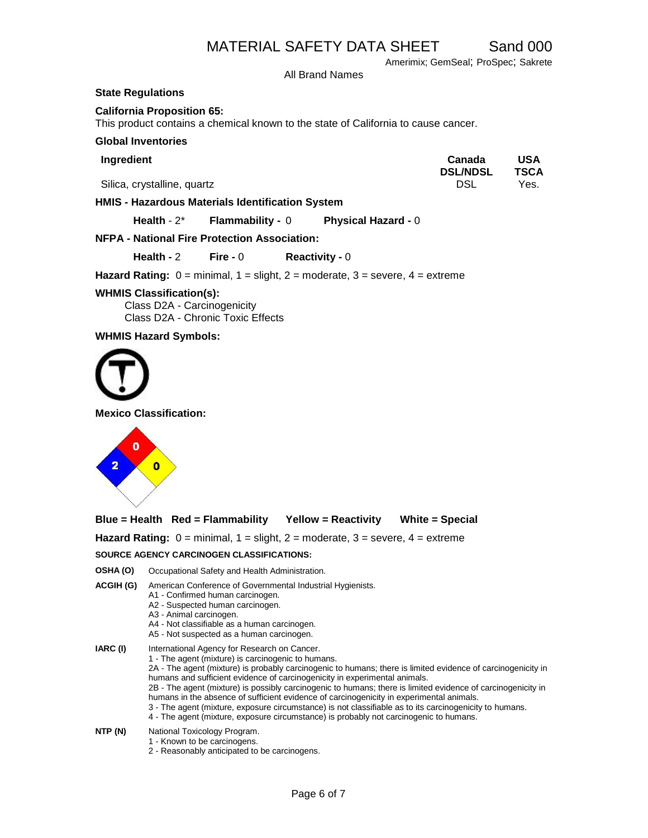Amerimix; GemSeal; ProSpec; Sakrete

All Brand Names

#### **State Regulations**

#### **California Proposition 65:**

This product contains a chemical known to the state of California to cause cancer.

#### **Global Inventories**

| Ingredient                                              | Canada<br><b>DSL/NDSL</b> | USA<br><b>TSCA</b> |
|---------------------------------------------------------|---------------------------|--------------------|
| Silica, crystalline, quartz                             | DSL                       | Yes.               |
| <b>HMIS - Hazardous Materials Identification System</b> |                           |                    |

**Health** - 2\* **Flammability -** 0 **Physical Hazard -** 0

#### **NFPA - National Fire Protection Association:**

**Health -** 2 **Fire -** 0 **Reactivity -** 0

**Hazard Rating:** 0 = minimal, 1 = slight, 2 = moderate, 3 = severe, 4 = extreme

#### **WHMIS Classification(s):**

Class D2A - Carcinogenicity Class D2A - Chronic Toxic Effects

**WHMIS Hazard Symbols:** 



**Mexico Classification:**



|  | $Blue = Health$ Red = Flammability | <b>Yellow = Reactivity</b> | <b>White = Special</b> |
|--|------------------------------------|----------------------------|------------------------|
|--|------------------------------------|----------------------------|------------------------|

**Hazard Rating:** 0 = minimal, 1 = slight, 2 = moderate, 3 = severe, 4 = extreme

#### **SOURCE AGENCY CARCINOGEN CLASSIFICATIONS:**

- **OSHA (O)** Occupational Safety and Health Administration.
- **ACGIH (G)** American Conference of Governmental Industrial Hygienists.
	- A1 Confirmed human carcinogen.
	- A2 Suspected human carcinogen.
	- A3 Animal carcinogen.
	- A4 Not classifiable as a human carcinogen.
	- A5 Not suspected as a human carcinogen.
- **IARC (I)** International Agency for Research on Cancer. 1 - The agent (mixture) is carcinogenic to humans. 2A - The agent (mixture) is probably carcinogenic to humans; there is limited evidence of carcinogenicity in humans and sufficient evidence of carcinogenicity in experimental animals. 2B - The agent (mixture) is possibly carcinogenic to humans; there is limited evidence of carcinogenicity in humans in the absence of sufficient evidence of carcinogenicity in experimental animals.
	- 3 The agent (mixture, exposure circumstance) is not classifiable as to its carcinogenicity to humans.
	- 4 The agent (mixture, exposure circumstance) is probably not carcinogenic to humans.
- **NTP (N)** National Toxicology Program.
	- 1 Known to be carcinogens.
	- 2 Reasonably anticipated to be carcinogens.